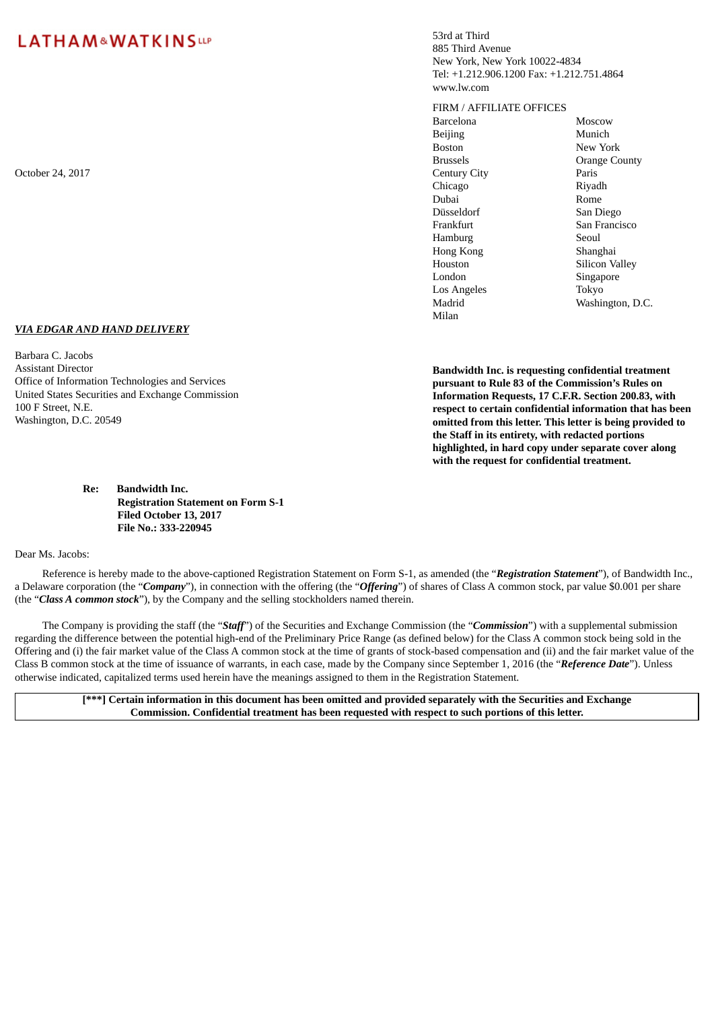*VIA EDGAR AND HAND DELIVERY*

Office of Information Technologies and Services United States Securities and Exchange Commission 53rd at Third 885 Third Avenue New York, New York 10022-4834 Tel: +1.212.906.1200 Fax: +1.212.751.4864 www.lw.com

#### FIRM / AFFILIATE OFFICES

Barcelona Moscow Beijing Munich Boston New York Chicago Riyadh Dubai Rome Düsseldorf San Diego Frankfurt San Francisco Hamburg Seoul Hong Kong Shanghai Houston Silicon Valley London Los Angeles Madrid Milan

Brussels **Drange County** Singapore Tokyo Washington, D.C.

**Bandwidth Inc. is requesting confidential treatment pursuant to Rule 83 of the Commission's Rules on Information Requests, 17 C.F.R. Section 200.83, with respect to certain confidential information that has been omitted from this letter. This letter is being provided to the Staff in its entirety, with redacted portions highlighted, in hard copy under separate cover along with the request for confidential treatment.**

**Registration Statement on Form S-1 Filed October 13, 2017 File No.: 333-220945**

#### Dear Ms. Jacobs:

Reference is hereby made to the above-captioned Registration Statement on Form S-1, as amended (the "*Registration Statement*"), of Bandwidth Inc., a Delaware corporation (the "*Company*"), in connection with the offering (the "*Offering*") of shares of Class A common stock, par value \$0.001 per share (the "*Class A common stock*"), by the Company and the selling stockholders named therein.

The Company is providing the staff (the "*Staff*") of the Securities and Exchange Commission (the "*Commission*") with a supplemental submission regarding the difference between the potential high-end of the Preliminary Price Range (as defined below) for the Class A common stock being sold in the Offering and (i) the fair market value of the Class A common stock at the time of grants of stock-based compensation and (ii) and the fair market value of the Class B common stock at the time of issuance of warrants, in each case, made by the Company since September 1, 2016 (the "*Reference Date*"). Unless otherwise indicated, capitalized terms used herein have the meanings assigned to them in the Registration Statement.

[\*\*\*] Certain information in this document has been omitted and provided separately with the Securities and Exchange **Commission. Confidential treatment has been requested with respect to such portions of this letter.**

October 24, 2017 Century City Paris

Barbara C. Jacobs Assistant Director

100 F Street, N.E. Washington, D.C. 20549

**Re: Bandwidth Inc.**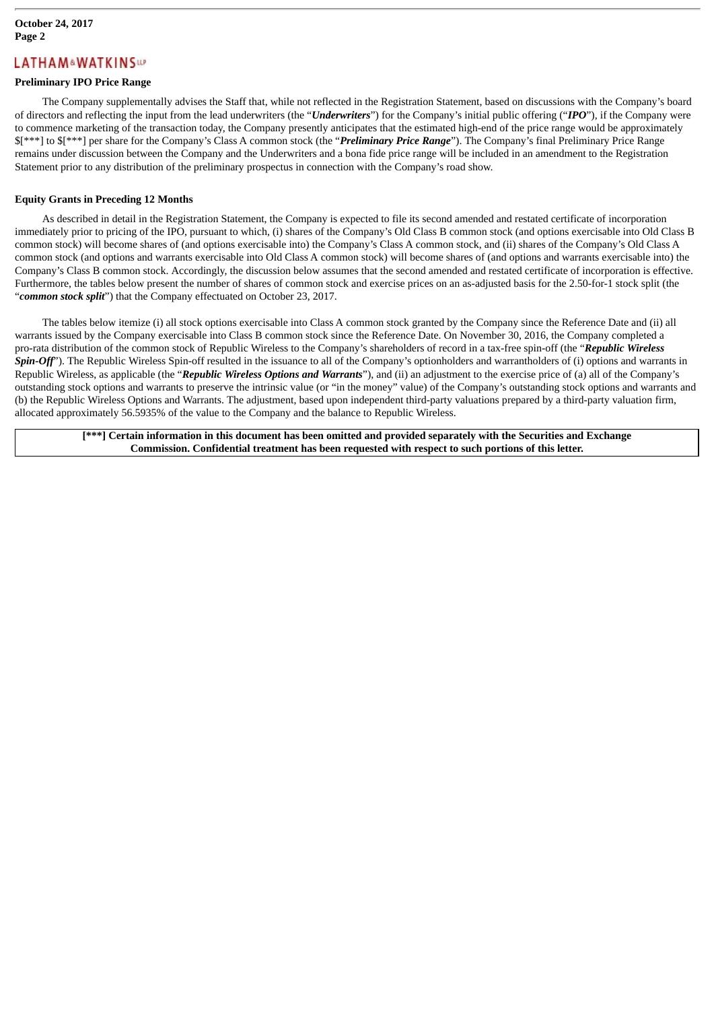### **Preliminary IPO Price Range**

The Company supplementally advises the Staff that, while not reflected in the Registration Statement, based on discussions with the Company's board of directors and reflecting the input from the lead underwriters (the "*Underwriters*") for the Company's initial public offering ("*IPO*"), if the Company were to commence marketing of the transaction today, the Company presently anticipates that the estimated high-end of the price range would be approximately \$[\*\*\*] to \$[\*\*\*] per share for the Company's Class A common stock (the "*Preliminary Price Range*"). The Company's final Preliminary Price Range remains under discussion between the Company and the Underwriters and a bona fide price range will be included in an amendment to the Registration Statement prior to any distribution of the preliminary prospectus in connection with the Company's road show.

#### **Equity Grants in Preceding 12 Months**

As described in detail in the Registration Statement, the Company is expected to file its second amended and restated certificate of incorporation immediately prior to pricing of the IPO, pursuant to which, (i) shares of the Company's Old Class B common stock (and options exercisable into Old Class B common stock) will become shares of (and options exercisable into) the Company's Class A common stock, and (ii) shares of the Company's Old Class A common stock (and options and warrants exercisable into Old Class A common stock) will become shares of (and options and warrants exercisable into) the Company's Class B common stock. Accordingly, the discussion below assumes that the second amended and restated certificate of incorporation is effective. Furthermore, the tables below present the number of shares of common stock and exercise prices on an as-adjusted basis for the 2.50-for-1 stock split (the "*common stock split*") that the Company effectuated on October 23, 2017.

The tables below itemize (i) all stock options exercisable into Class A common stock granted by the Company since the Reference Date and (ii) all warrants issued by the Company exercisable into Class B common stock since the Reference Date. On November 30, 2016, the Company completed a pro-rata distribution of the common stock of Republic Wireless to the Company's shareholders of record in a tax-free spin-off (the "*Republic Wireless* Spin-Off<sup>\*</sup>). The Republic Wireless Spin-off resulted in the issuance to all of the Company's optionholders and warrantholders of (i) options and warrants in Republic Wireless, as applicable (the "*Republic Wireless Options and Warrants*"), and (ii) an adjustment to the exercise price of (a) all of the Company's outstanding stock options and warrants to preserve the intrinsic value (or "in the money" value) of the Company's outstanding stock options and warrants and (b) the Republic Wireless Options and Warrants. The adjustment, based upon independent third-party valuations prepared by a third-party valuation firm, allocated approximately 56.5935% of the value to the Company and the balance to Republic Wireless.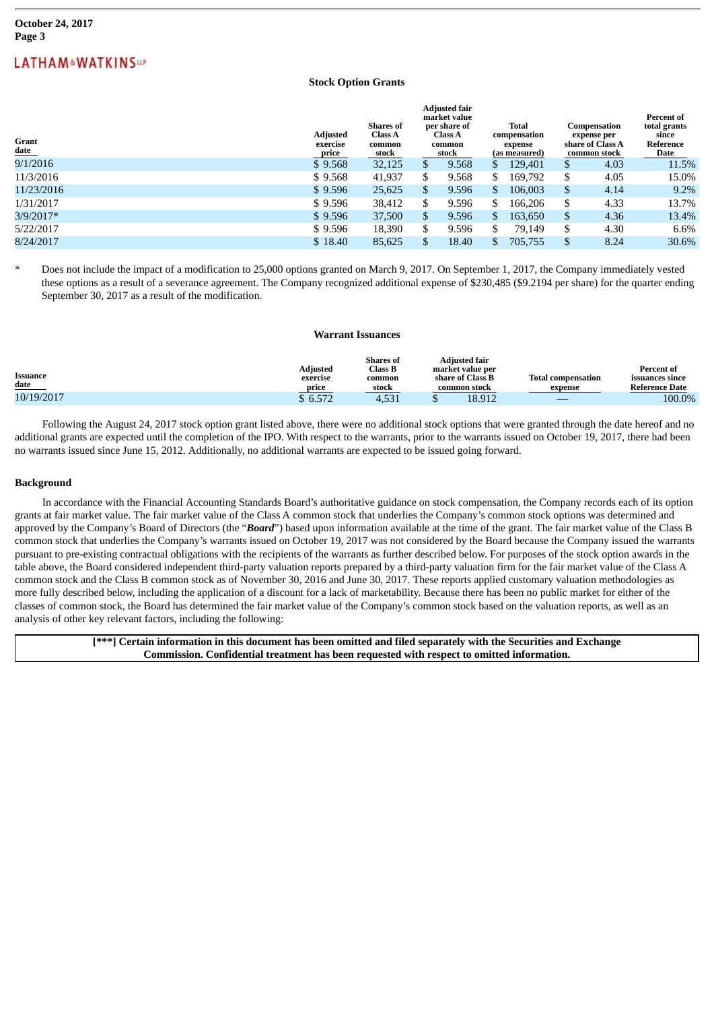#### **Stock Option Grants**

**Adjusted fair**

| Grant<br>$_{\rm date}$ | <b>Adjusted</b><br>exercise<br><u>price</u> | <b>Shares</b> of<br><b>Class A</b><br>common<br>stock | Aajusted tair<br>market value<br>per share of<br><b>Class A</b><br>common<br>stock |       | <b>Total</b><br>compensation<br>expense<br>(as measured) |         | Compensation<br>expense per<br>share of Class A<br>common stock |      | Percent of<br>total grants<br>since<br>Reference<br>Date |  |
|------------------------|---------------------------------------------|-------------------------------------------------------|------------------------------------------------------------------------------------|-------|----------------------------------------------------------|---------|-----------------------------------------------------------------|------|----------------------------------------------------------|--|
| 9/1/2016               | \$9.568                                     | 32,125                                                | S.                                                                                 | 9.568 | S                                                        | 129,401 | \$                                                              | 4.03 | 11.5%                                                    |  |
| 11/3/2016              | \$9.568                                     | 41,937                                                |                                                                                    | 9.568 | \$                                                       | 169,792 | \$                                                              | 4.05 | 15.0%                                                    |  |
| 11/23/2016             | \$9.596                                     | 25,625                                                | S                                                                                  | 9.596 | \$                                                       | 106,003 | \$                                                              | 4.14 | $9.2\%$                                                  |  |
| 1/31/2017              | \$9.596                                     | 38,412                                                |                                                                                    | 9.596 | \$                                                       | 166,206 | \$                                                              | 4.33 | 13.7%                                                    |  |
| $3/9/2017*$            | \$9.596                                     | 37,500                                                | S.                                                                                 | 9.596 | \$                                                       | 163,650 | \$                                                              | 4.36 | 13.4%                                                    |  |
| 5/22/2017              | \$9.596                                     | 18,390                                                |                                                                                    | 9.596 | \$                                                       | 79.149  | \$                                                              | 4.30 | 6.6%                                                     |  |
| 8/24/2017              | \$18.40                                     | 85,625                                                |                                                                                    | 18.40 | S                                                        | 705,755 | S                                                               | 8.24 | 30.6%                                                    |  |

Does not include the impact of a modification to 25,000 options granted on March 9, 2017. On September 1, 2017, the Company immediately vested these options as a result of a severance agreement. The Company recognized additional expense of \$230,485 (\$9.2194 per share) for the quarter ending September 30, 2017 as a result of the modification.

#### **Warrant Issuances**

| Issuance<br><u>date</u> | Adjusted<br>exercise<br>price | <b>Shares</b> of<br><b>Class B</b><br>common<br>stock | <b>Adiusted fair</b><br>market value per<br>share of Class B<br>common stock | <b>Total compensation</b><br>expense | <b>Percent of</b><br>issuances since<br><b>Reference Date</b> |
|-------------------------|-------------------------------|-------------------------------------------------------|------------------------------------------------------------------------------|--------------------------------------|---------------------------------------------------------------|
| 10/19/2017              | 6.572                         | 4,531                                                 | 18.912                                                                       |                                      | 100.0%                                                        |

Following the August 24, 2017 stock option grant listed above, there were no additional stock options that were granted through the date hereof and no additional grants are expected until the completion of the IPO. With respect to the warrants, prior to the warrants issued on October 19, 2017, there had been no warrants issued since June 15, 2012. Additionally, no additional warrants are expected to be issued going forward.

#### **Background**

In accordance with the Financial Accounting Standards Board's authoritative guidance on stock compensation, the Company records each of its option grants at fair market value. The fair market value of the Class A common stock that underlies the Company's common stock options was determined and approved by the Company's Board of Directors (the "*Board*") based upon information available at the time of the grant. The fair market value of the Class B common stock that underlies the Company's warrants issued on October 19, 2017 was not considered by the Board because the Company issued the warrants pursuant to pre-existing contractual obligations with the recipients of the warrants as further described below. For purposes of the stock option awards in the table above, the Board considered independent third-party valuation reports prepared by a third-party valuation firm for the fair market value of the Class A common stock and the Class B common stock as of November 30, 2016 and June 30, 2017. These reports applied customary valuation methodologies as more fully described below, including the application of a discount for a lack of marketability. Because there has been no public market for either of the classes of common stock, the Board has determined the fair market value of the Company's common stock based on the valuation reports, as well as an analysis of other key relevant factors, including the following: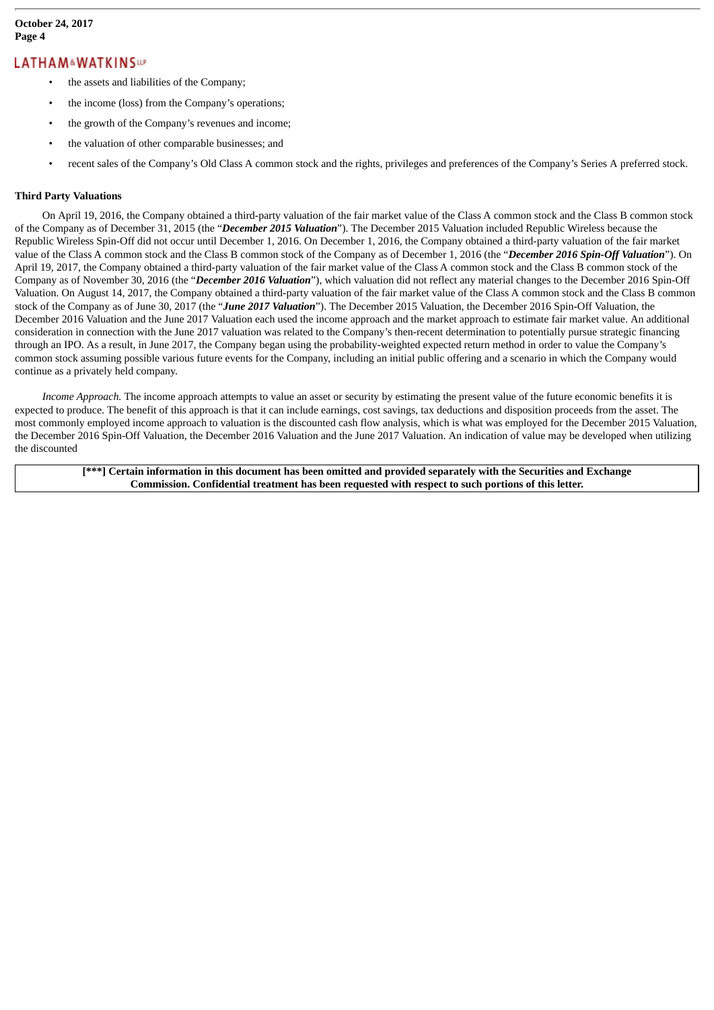- the assets and liabilities of the Company;
- the income (loss) from the Company's operations;
- the growth of the Company's revenues and income;
- the valuation of other comparable businesses; and
- recent sales of the Company's Old Class A common stock and the rights, privileges and preferences of the Company's Series A preferred stock.

#### **Third Party Valuations**

On April 19, 2016, the Company obtained a third-party valuation of the fair market value of the Class A common stock and the Class B common stock of the Company as of December 31, 2015 (the "*December 2015 Valuation*"). The December 2015 Valuation included Republic Wireless because the Republic Wireless Spin-Off did not occur until December 1, 2016. On December 1, 2016, the Company obtained a third-party valuation of the fair market value of the Class A common stock and the Class B common stock of the Company as of December 1, 2016 (the "*December 2016 Spin-Off Valuation*"). On April 19, 2017, the Company obtained a third-party valuation of the fair market value of the Class A common stock and the Class B common stock of the Company as of November 30, 2016 (the "*December 2016 Valuation*"), which valuation did not reflect any material changes to the December 2016 Spin-Off Valuation. On August 14, 2017, the Company obtained a third-party valuation of the fair market value of the Class A common stock and the Class B common stock of the Company as of June 30, 2017 (the "*June 2017 Valuation*"). The December 2015 Valuation, the December 2016 Spin-Off Valuation, the December 2016 Valuation and the June 2017 Valuation each used the income approach and the market approach to estimate fair market value. An additional consideration in connection with the June 2017 valuation was related to the Company's then-recent determination to potentially pursue strategic financing through an IPO. As a result, in June 2017, the Company began using the probability-weighted expected return method in order to value the Company's common stock assuming possible various future events for the Company, including an initial public offering and a scenario in which the Company would continue as a privately held company.

*Income Approach.* The income approach attempts to value an asset or security by estimating the present value of the future economic benefits it is expected to produce. The benefit of this approach is that it can include earnings, cost savings, tax deductions and disposition proceeds from the asset. The most commonly employed income approach to valuation is the discounted cash flow analysis, which is what was employed for the December 2015 Valuation, the December 2016 Spin-Off Valuation, the December 2016 Valuation and the June 2017 Valuation. An indication of value may be developed when utilizing the discounted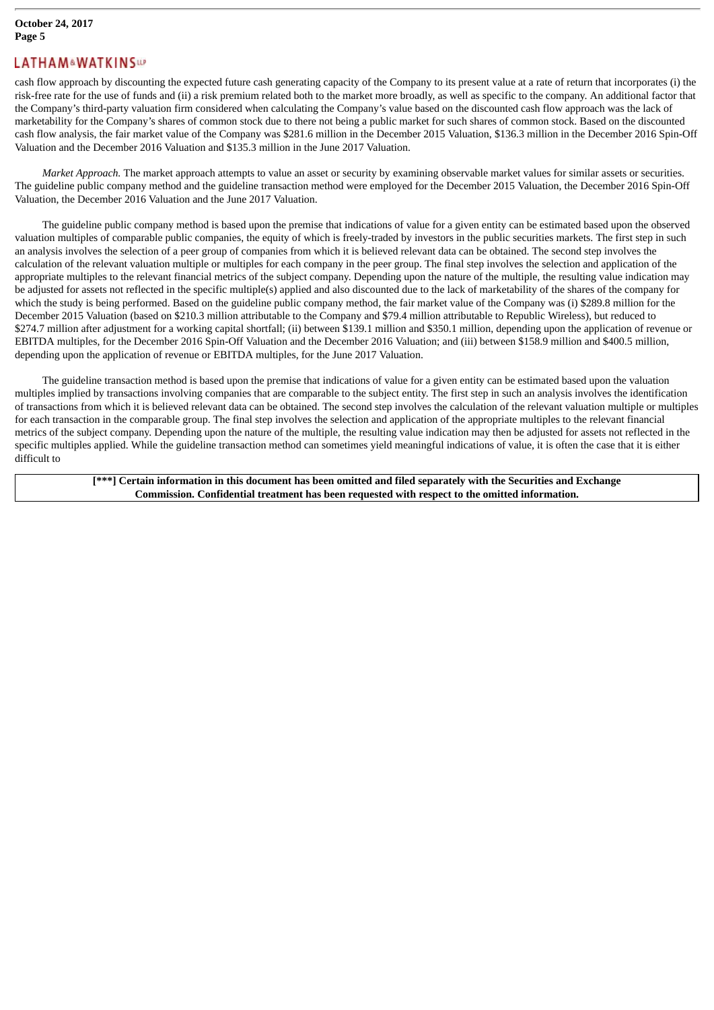cash flow approach by discounting the expected future cash generating capacity of the Company to its present value at a rate of return that incorporates (i) the risk-free rate for the use of funds and (ii) a risk premium related both to the market more broadly, as well as specific to the company. An additional factor that the Company's third-party valuation firm considered when calculating the Company's value based on the discounted cash flow approach was the lack of marketability for the Company's shares of common stock due to there not being a public market for such shares of common stock. Based on the discounted cash flow analysis, the fair market value of the Company was \$281.6 million in the December 2015 Valuation, \$136.3 million in the December 2016 Spin-Off Valuation and the December 2016 Valuation and \$135.3 million in the June 2017 Valuation.

*Market Approach.* The market approach attempts to value an asset or security by examining observable market values for similar assets or securities. The guideline public company method and the guideline transaction method were employed for the December 2015 Valuation, the December 2016 Spin-Off Valuation, the December 2016 Valuation and the June 2017 Valuation.

The guideline public company method is based upon the premise that indications of value for a given entity can be estimated based upon the observed valuation multiples of comparable public companies, the equity of which is freely-traded by investors in the public securities markets. The first step in such an analysis involves the selection of a peer group of companies from which it is believed relevant data can be obtained. The second step involves the calculation of the relevant valuation multiple or multiples for each company in the peer group. The final step involves the selection and application of the appropriate multiples to the relevant financial metrics of the subject company. Depending upon the nature of the multiple, the resulting value indication may be adjusted for assets not reflected in the specific multiple(s) applied and also discounted due to the lack of marketability of the shares of the company for which the study is being performed. Based on the guideline public company method, the fair market value of the Company was (i) \$289.8 million for the December 2015 Valuation (based on \$210.3 million attributable to the Company and \$79.4 million attributable to Republic Wireless), but reduced to \$274.7 million after adjustment for a working capital shortfall; (ii) between \$139.1 million and \$350.1 million, depending upon the application of revenue or EBITDA multiples, for the December 2016 Spin-Off Valuation and the December 2016 Valuation; and (iii) between \$158.9 million and \$400.5 million, depending upon the application of revenue or EBITDA multiples, for the June 2017 Valuation.

The guideline transaction method is based upon the premise that indications of value for a given entity can be estimated based upon the valuation multiples implied by transactions involving companies that are comparable to the subject entity. The first step in such an analysis involves the identification of transactions from which it is believed relevant data can be obtained. The second step involves the calculation of the relevant valuation multiple or multiples for each transaction in the comparable group. The final step involves the selection and application of the appropriate multiples to the relevant financial metrics of the subject company. Depending upon the nature of the multiple, the resulting value indication may then be adjusted for assets not reflected in the specific multiples applied. While the guideline transaction method can sometimes yield meaningful indications of value, it is often the case that it is either difficult to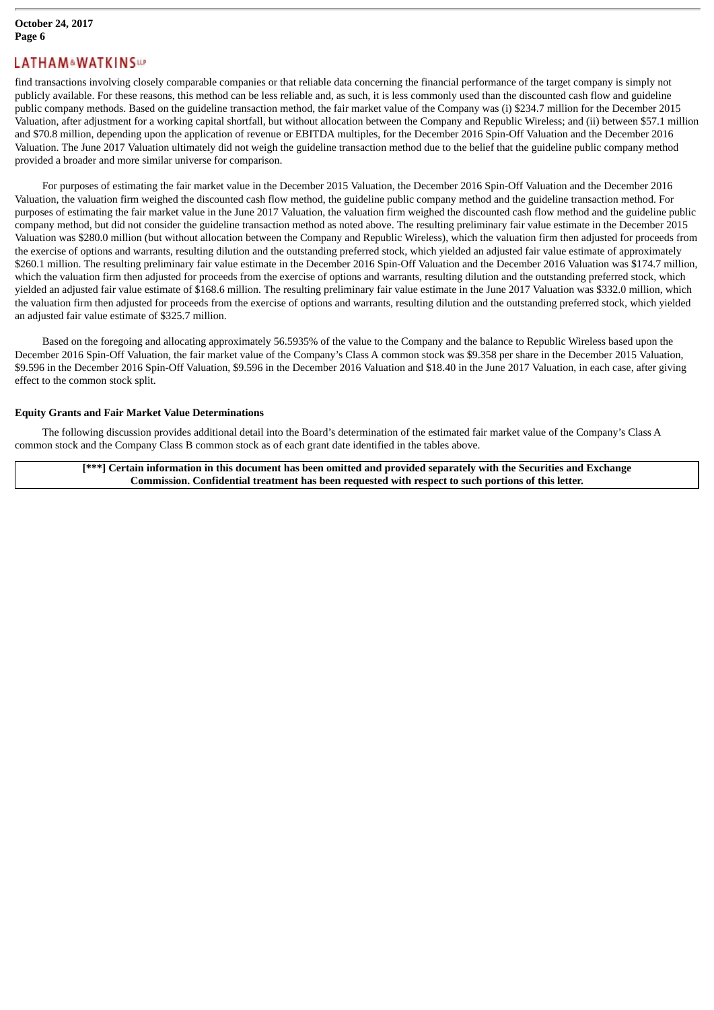find transactions involving closely comparable companies or that reliable data concerning the financial performance of the target company is simply not publicly available. For these reasons, this method can be less reliable and, as such, it is less commonly used than the discounted cash flow and guideline public company methods. Based on the guideline transaction method, the fair market value of the Company was (i) \$234.7 million for the December 2015 Valuation, after adjustment for a working capital shortfall, but without allocation between the Company and Republic Wireless; and (ii) between \$57.1 million and \$70.8 million, depending upon the application of revenue or EBITDA multiples, for the December 2016 Spin-Off Valuation and the December 2016 Valuation. The June 2017 Valuation ultimately did not weigh the guideline transaction method due to the belief that the guideline public company method provided a broader and more similar universe for comparison.

For purposes of estimating the fair market value in the December 2015 Valuation, the December 2016 Spin-Off Valuation and the December 2016 Valuation, the valuation firm weighed the discounted cash flow method, the guideline public company method and the guideline transaction method. For purposes of estimating the fair market value in the June 2017 Valuation, the valuation firm weighed the discounted cash flow method and the guideline public company method, but did not consider the guideline transaction method as noted above. The resulting preliminary fair value estimate in the December 2015 Valuation was \$280.0 million (but without allocation between the Company and Republic Wireless), which the valuation firm then adjusted for proceeds from the exercise of options and warrants, resulting dilution and the outstanding preferred stock, which yielded an adjusted fair value estimate of approximately \$260.1 million. The resulting preliminary fair value estimate in the December 2016 Spin-Off Valuation and the December 2016 Valuation was \$174.7 million, which the valuation firm then adjusted for proceeds from the exercise of options and warrants, resulting dilution and the outstanding preferred stock, which yielded an adjusted fair value estimate of \$168.6 million. The resulting preliminary fair value estimate in the June 2017 Valuation was \$332.0 million, which the valuation firm then adjusted for proceeds from the exercise of options and warrants, resulting dilution and the outstanding preferred stock, which yielded an adjusted fair value estimate of \$325.7 million.

Based on the foregoing and allocating approximately 56.5935% of the value to the Company and the balance to Republic Wireless based upon the December 2016 Spin-Off Valuation, the fair market value of the Company's Class A common stock was \$9.358 per share in the December 2015 Valuation, \$9.596 in the December 2016 Spin-Off Valuation, \$9.596 in the December 2016 Valuation and \$18.40 in the June 2017 Valuation, in each case, after giving effect to the common stock split.

#### **Equity Grants and Fair Market Value Determinations**

The following discussion provides additional detail into the Board's determination of the estimated fair market value of the Company's Class A common stock and the Company Class B common stock as of each grant date identified in the tables above.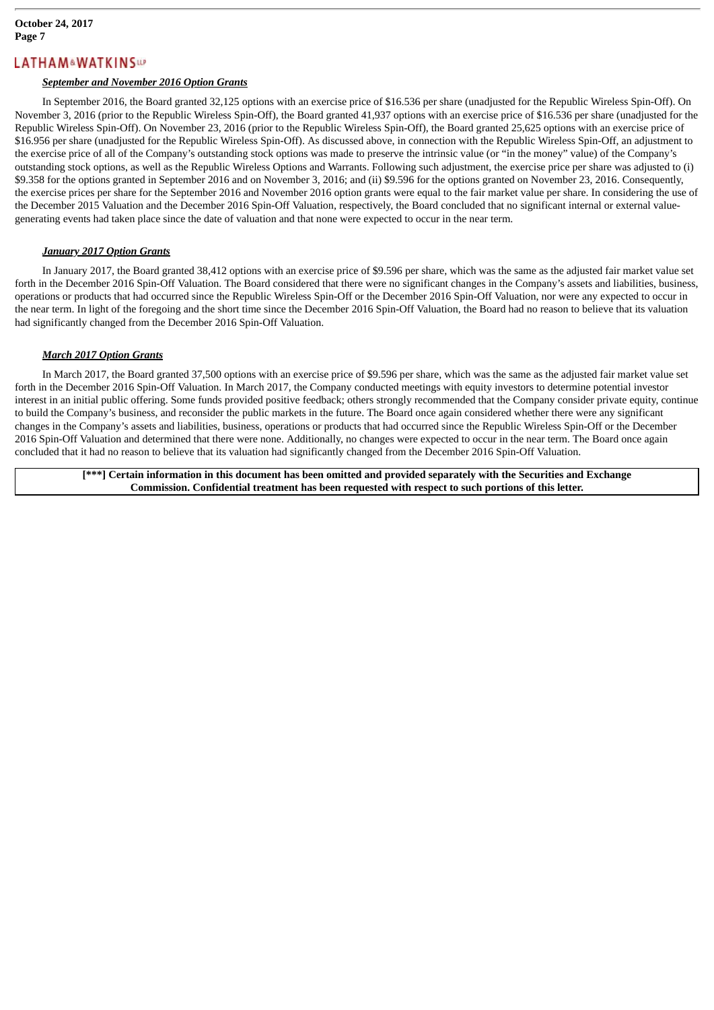#### *September and November 2016 Option Grants*

In September 2016, the Board granted 32,125 options with an exercise price of \$16.536 per share (unadjusted for the Republic Wireless Spin-Off). On November 3, 2016 (prior to the Republic Wireless Spin-Off), the Board granted 41,937 options with an exercise price of \$16.536 per share (unadjusted for the Republic Wireless Spin-Off). On November 23, 2016 (prior to the Republic Wireless Spin-Off), the Board granted 25,625 options with an exercise price of \$16.956 per share (unadjusted for the Republic Wireless Spin-Off). As discussed above, in connection with the Republic Wireless Spin-Off, an adjustment to the exercise price of all of the Company's outstanding stock options was made to preserve the intrinsic value (or "in the money" value) of the Company's outstanding stock options, as well as the Republic Wireless Options and Warrants. Following such adjustment, the exercise price per share was adjusted to (i) \$9.358 for the options granted in September 2016 and on November 3, 2016; and (ii) \$9.596 for the options granted on November 23, 2016. Consequently, the exercise prices per share for the September 2016 and November 2016 option grants were equal to the fair market value per share. In considering the use of the December 2015 Valuation and the December 2016 Spin-Off Valuation, respectively, the Board concluded that no significant internal or external valuegenerating events had taken place since the date of valuation and that none were expected to occur in the near term.

#### *January 2017 Option Grants*

In January 2017, the Board granted 38,412 options with an exercise price of \$9.596 per share, which was the same as the adjusted fair market value set forth in the December 2016 Spin-Off Valuation. The Board considered that there were no significant changes in the Company's assets and liabilities, business, operations or products that had occurred since the Republic Wireless Spin-Off or the December 2016 Spin-Off Valuation, nor were any expected to occur in the near term. In light of the foregoing and the short time since the December 2016 Spin-Off Valuation, the Board had no reason to believe that its valuation had significantly changed from the December 2016 Spin-Off Valuation.

#### *March 2017 Option Grants*

In March 2017, the Board granted 37,500 options with an exercise price of \$9.596 per share, which was the same as the adjusted fair market value set forth in the December 2016 Spin-Off Valuation. In March 2017, the Company conducted meetings with equity investors to determine potential investor interest in an initial public offering. Some funds provided positive feedback; others strongly recommended that the Company consider private equity, continue to build the Company's business, and reconsider the public markets in the future. The Board once again considered whether there were any significant changes in the Company's assets and liabilities, business, operations or products that had occurred since the Republic Wireless Spin-Off or the December 2016 Spin-Off Valuation and determined that there were none. Additionally, no changes were expected to occur in the near term. The Board once again concluded that it had no reason to believe that its valuation had significantly changed from the December 2016 Spin-Off Valuation.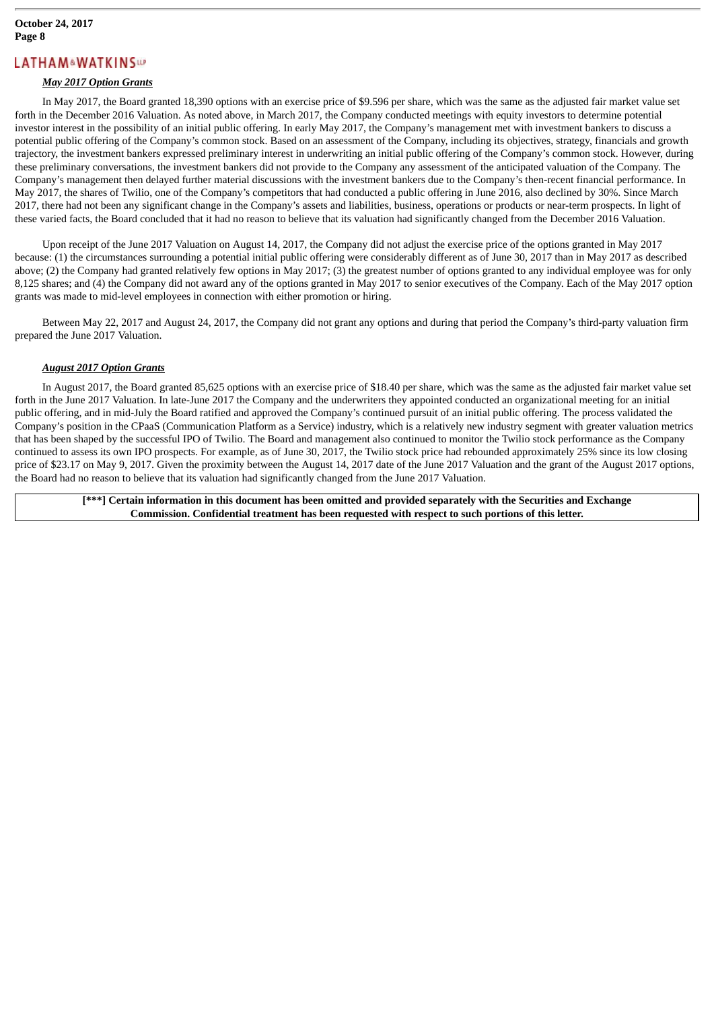#### *May 2017 Option Grants*

In May 2017, the Board granted 18,390 options with an exercise price of \$9.596 per share, which was the same as the adjusted fair market value set forth in the December 2016 Valuation. As noted above, in March 2017, the Company conducted meetings with equity investors to determine potential investor interest in the possibility of an initial public offering. In early May 2017, the Company's management met with investment bankers to discuss a potential public offering of the Company's common stock. Based on an assessment of the Company, including its objectives, strategy, financials and growth trajectory, the investment bankers expressed preliminary interest in underwriting an initial public offering of the Company's common stock. However, during these preliminary conversations, the investment bankers did not provide to the Company any assessment of the anticipated valuation of the Company. The Company's management then delayed further material discussions with the investment bankers due to the Company's then-recent financial performance. In May 2017, the shares of Twilio, one of the Company's competitors that had conducted a public offering in June 2016, also declined by 30%. Since March 2017, there had not been any significant change in the Company's assets and liabilities, business, operations or products or near-term prospects. In light of these varied facts, the Board concluded that it had no reason to believe that its valuation had significantly changed from the December 2016 Valuation.

Upon receipt of the June 2017 Valuation on August 14, 2017, the Company did not adjust the exercise price of the options granted in May 2017 because: (1) the circumstances surrounding a potential initial public offering were considerably different as of June 30, 2017 than in May 2017 as described above; (2) the Company had granted relatively few options in May 2017; (3) the greatest number of options granted to any individual employee was for only 8,125 shares; and (4) the Company did not award any of the options granted in May 2017 to senior executives of the Company. Each of the May 2017 option grants was made to mid-level employees in connection with either promotion or hiring.

Between May 22, 2017 and August 24, 2017, the Company did not grant any options and during that period the Company's third-party valuation firm prepared the June 2017 Valuation.

#### *August 2017 Option Grants*

In August 2017, the Board granted 85,625 options with an exercise price of \$18.40 per share, which was the same as the adjusted fair market value set forth in the June 2017 Valuation. In late-June 2017 the Company and the underwriters they appointed conducted an organizational meeting for an initial public offering, and in mid-July the Board ratified and approved the Company's continued pursuit of an initial public offering. The process validated the Company's position in the CPaaS (Communication Platform as a Service) industry, which is a relatively new industry segment with greater valuation metrics that has been shaped by the successful IPO of Twilio. The Board and management also continued to monitor the Twilio stock performance as the Company continued to assess its own IPO prospects. For example, as of June 30, 2017, the Twilio stock price had rebounded approximately 25% since its low closing price of \$23.17 on May 9, 2017. Given the proximity between the August 14, 2017 date of the June 2017 Valuation and the grant of the August 2017 options, the Board had no reason to believe that its valuation had significantly changed from the June 2017 Valuation.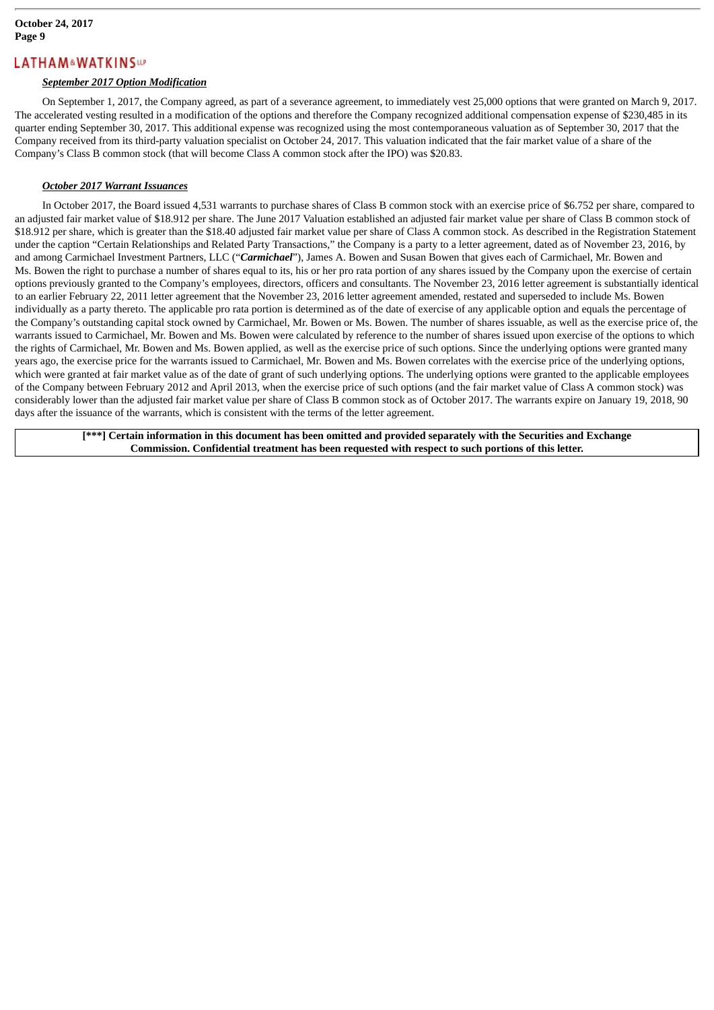#### *September 2017 Option Modification*

On September 1, 2017, the Company agreed, as part of a severance agreement, to immediately vest 25,000 options that were granted on March 9, 2017. The accelerated vesting resulted in a modification of the options and therefore the Company recognized additional compensation expense of \$230,485 in its quarter ending September 30, 2017. This additional expense was recognized using the most contemporaneous valuation as of September 30, 2017 that the Company received from its third-party valuation specialist on October 24, 2017. This valuation indicated that the fair market value of a share of the Company's Class B common stock (that will become Class A common stock after the IPO) was \$20.83.

#### *October 2017 Warrant Issuances*

In October 2017, the Board issued 4,531 warrants to purchase shares of Class B common stock with an exercise price of \$6.752 per share, compared to an adjusted fair market value of \$18.912 per share. The June 2017 Valuation established an adjusted fair market value per share of Class B common stock of \$18.912 per share, which is greater than the \$18.40 adjusted fair market value per share of Class A common stock. As described in the Registration Statement under the caption "Certain Relationships and Related Party Transactions," the Company is a party to a letter agreement, dated as of November 23, 2016, by and among Carmichael Investment Partners, LLC ("*Carmichael*"), James A. Bowen and Susan Bowen that gives each of Carmichael, Mr. Bowen and Ms. Bowen the right to purchase a number of shares equal to its, his or her pro rata portion of any shares issued by the Company upon the exercise of certain options previously granted to the Company's employees, directors, officers and consultants. The November 23, 2016 letter agreement is substantially identical to an earlier February 22, 2011 letter agreement that the November 23, 2016 letter agreement amended, restated and superseded to include Ms. Bowen individually as a party thereto. The applicable pro rata portion is determined as of the date of exercise of any applicable option and equals the percentage of the Company's outstanding capital stock owned by Carmichael, Mr. Bowen or Ms. Bowen. The number of shares issuable, as well as the exercise price of, the warrants issued to Carmichael, Mr. Bowen and Ms. Bowen were calculated by reference to the number of shares issued upon exercise of the options to which the rights of Carmichael, Mr. Bowen and Ms. Bowen applied, as well as the exercise price of such options. Since the underlying options were granted many years ago, the exercise price for the warrants issued to Carmichael, Mr. Bowen and Ms. Bowen correlates with the exercise price of the underlying options, which were granted at fair market value as of the date of grant of such underlying options. The underlying options were granted to the applicable employees of the Company between February 2012 and April 2013, when the exercise price of such options (and the fair market value of Class A common stock) was considerably lower than the adjusted fair market value per share of Class B common stock as of October 2017. The warrants expire on January 19, 2018, 90 days after the issuance of the warrants, which is consistent with the terms of the letter agreement.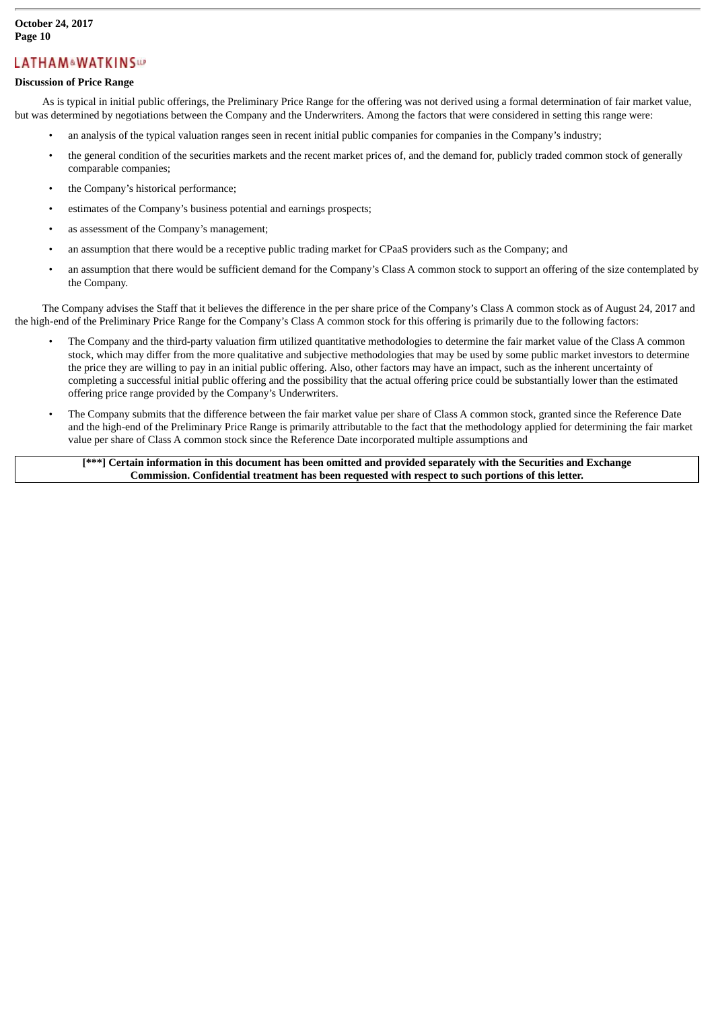#### **October 24, 2017 Page 10**

# **LATHAM&WATKINSWP**

#### **Discussion of Price Range**

As is typical in initial public offerings, the Preliminary Price Range for the offering was not derived using a formal determination of fair market value, but was determined by negotiations between the Company and the Underwriters. Among the factors that were considered in setting this range were:

- an analysis of the typical valuation ranges seen in recent initial public companies for companies in the Company's industry;
- the general condition of the securities markets and the recent market prices of, and the demand for, publicly traded common stock of generally comparable companies;
- the Company's historical performance;
- estimates of the Company's business potential and earnings prospects;
- as assessment of the Company's management;
- an assumption that there would be a receptive public trading market for CPaaS providers such as the Company; and
- an assumption that there would be sufficient demand for the Company's Class A common stock to support an offering of the size contemplated by the Company.

The Company advises the Staff that it believes the difference in the per share price of the Company's Class A common stock as of August 24, 2017 and the high-end of the Preliminary Price Range for the Company's Class A common stock for this offering is primarily due to the following factors:

- The Company and the third-party valuation firm utilized quantitative methodologies to determine the fair market value of the Class A common stock, which may differ from the more qualitative and subjective methodologies that may be used by some public market investors to determine the price they are willing to pay in an initial public offering. Also, other factors may have an impact, such as the inherent uncertainty of completing a successful initial public offering and the possibility that the actual offering price could be substantially lower than the estimated offering price range provided by the Company's Underwriters.
- The Company submits that the difference between the fair market value per share of Class A common stock, granted since the Reference Date and the high-end of the Preliminary Price Range is primarily attributable to the fact that the methodology applied for determining the fair market value per share of Class A common stock since the Reference Date incorporated multiple assumptions and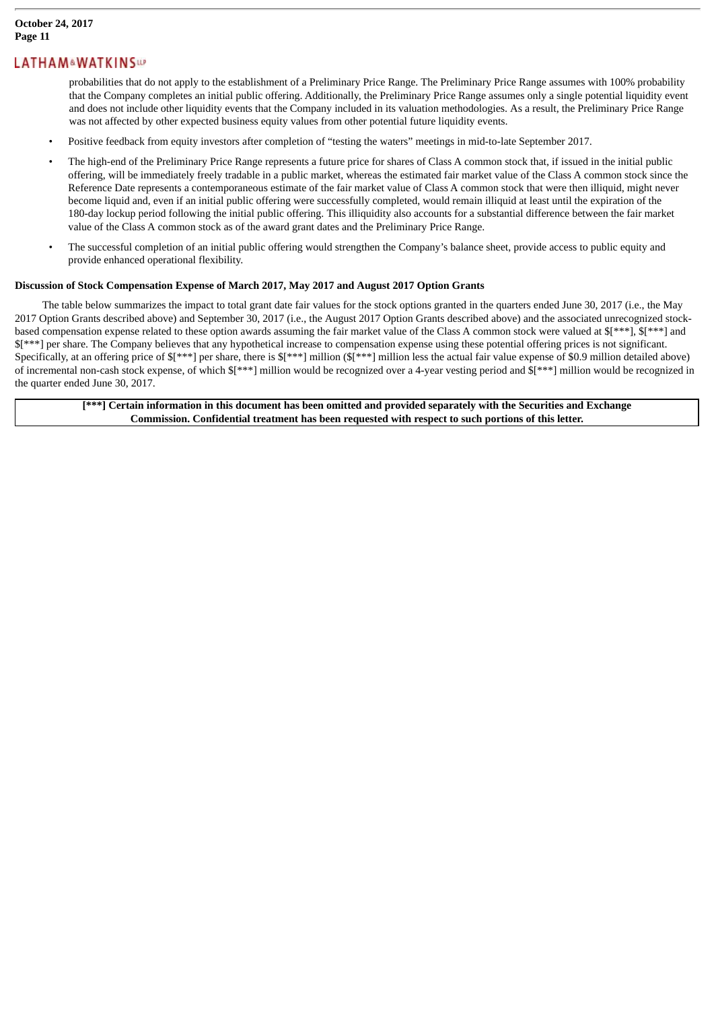probabilities that do not apply to the establishment of a Preliminary Price Range. The Preliminary Price Range assumes with 100% probability that the Company completes an initial public offering. Additionally, the Preliminary Price Range assumes only a single potential liquidity event and does not include other liquidity events that the Company included in its valuation methodologies. As a result, the Preliminary Price Range was not affected by other expected business equity values from other potential future liquidity events.

- Positive feedback from equity investors after completion of "testing the waters" meetings in mid-to-late September 2017.
- The high-end of the Preliminary Price Range represents a future price for shares of Class A common stock that, if issued in the initial public offering, will be immediately freely tradable in a public market, whereas the estimated fair market value of the Class A common stock since the Reference Date represents a contemporaneous estimate of the fair market value of Class A common stock that were then illiquid, might never become liquid and, even if an initial public offering were successfully completed, would remain illiquid at least until the expiration of the 180-day lockup period following the initial public offering. This illiquidity also accounts for a substantial difference between the fair market value of the Class A common stock as of the award grant dates and the Preliminary Price Range.
- The successful completion of an initial public offering would strengthen the Company's balance sheet, provide access to public equity and provide enhanced operational flexibility.

#### **Discussion of Stock Compensation Expense of March 2017, May 2017 and August 2017 Option Grants**

The table below summarizes the impact to total grant date fair values for the stock options granted in the quarters ended June 30, 2017 (i.e., the May 2017 Option Grants described above) and September 30, 2017 (i.e., the August 2017 Option Grants described above) and the associated unrecognized stockbased compensation expense related to these option awards assuming the fair market value of the Class A common stock were valued at  $$[***]$ ,  $$[***]$  and \$[\*\*\*] per share. The Company believes that any hypothetical increase to compensation expense using these potential offering prices is not significant. Specifically, at an offering price of \$[\*\*\*] per share, there is \$[\*\*\*] million (\$[\*\*\*] million less the actual fair value expense of \$0.9 million detailed above) of incremental non-cash stock expense, of which \$[\*\*\*] million would be recognized over a 4-year vesting period and \$[\*\*\*] million would be recognized in the quarter ended June 30, 2017.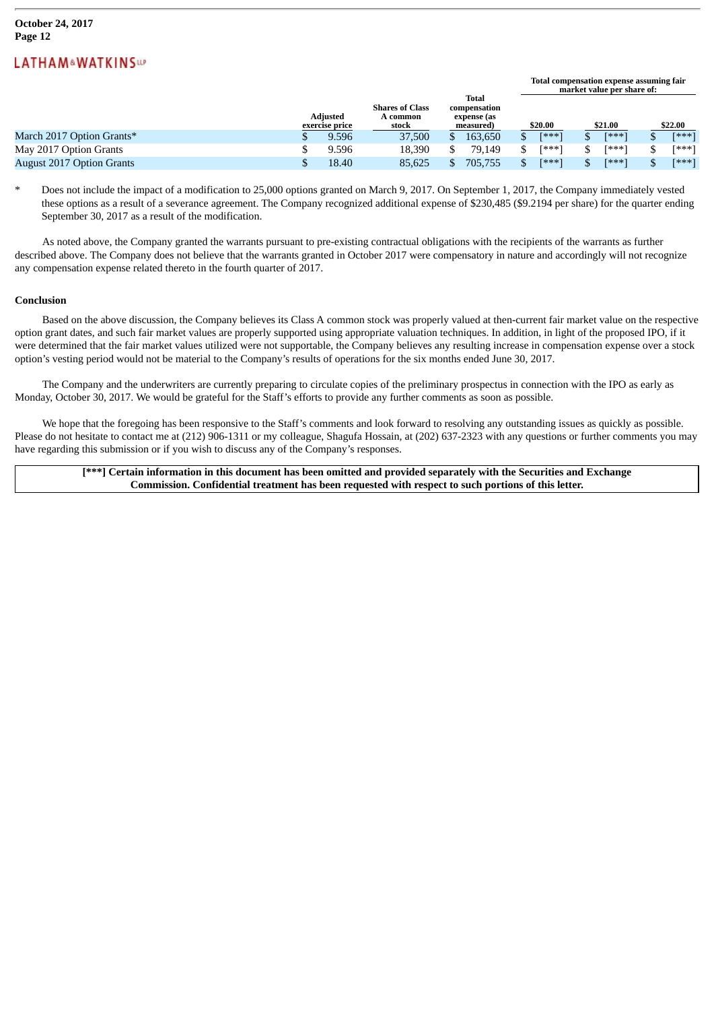|                                  |                            |       |                                             |                                                   |         |         | . .<br>market value per share of: |         |       |         |         |  |  |
|----------------------------------|----------------------------|-------|---------------------------------------------|---------------------------------------------------|---------|---------|-----------------------------------|---------|-------|---------|---------|--|--|
|                                  | Adiusted<br>exercise price |       | <b>Shares of Class</b><br>A common<br>stock | Total<br>compensation<br>expense (as<br>measured) |         | \$20.00 |                                   | \$21.00 |       | \$22.00 |         |  |  |
| March 2017 Option Grants*        |                            | 9.596 | 37,500                                      |                                                   | 163.650 |         | $[x**!]$                          |         | [***] |         | $F***1$ |  |  |
| May 2017 Option Grants           |                            | 9.596 | 18.390                                      |                                                   | 79.149  |         | [***]                             |         | [***` |         | [***]   |  |  |
| <b>August 2017 Option Grants</b> |                            | 18.40 | 85,625                                      |                                                   | 705,755 |         | [***]                             |         | [***] |         | $[***]$ |  |  |

**Total compensation expense assuming fair**

\* Does not include the impact of a modification to 25,000 options granted on March 9, 2017. On September 1, 2017, the Company immediately vested these options as a result of a severance agreement. The Company recognized additional expense of \$230,485 (\$9.2194 per share) for the quarter ending September 30, 2017 as a result of the modification.

As noted above, the Company granted the warrants pursuant to pre-existing contractual obligations with the recipients of the warrants as further described above. The Company does not believe that the warrants granted in October 2017 were compensatory in nature and accordingly will not recognize any compensation expense related thereto in the fourth quarter of 2017.

#### **Conclusion**

Based on the above discussion, the Company believes its Class A common stock was properly valued at then-current fair market value on the respective option grant dates, and such fair market values are properly supported using appropriate valuation techniques. In addition, in light of the proposed IPO, if it were determined that the fair market values utilized were not supportable, the Company believes any resulting increase in compensation expense over a stock option's vesting period would not be material to the Company's results of operations for the six months ended June 30, 2017.

The Company and the underwriters are currently preparing to circulate copies of the preliminary prospectus in connection with the IPO as early as Monday, October 30, 2017. We would be grateful for the Staff's efforts to provide any further comments as soon as possible.

We hope that the foregoing has been responsive to the Staff's comments and look forward to resolving any outstanding issues as quickly as possible. Please do not hesitate to contact me at (212) 906-1311 or my colleague, Shagufa Hossain, at (202) 637-2323 with any questions or further comments you may have regarding this submission or if you wish to discuss any of the Company's responses.